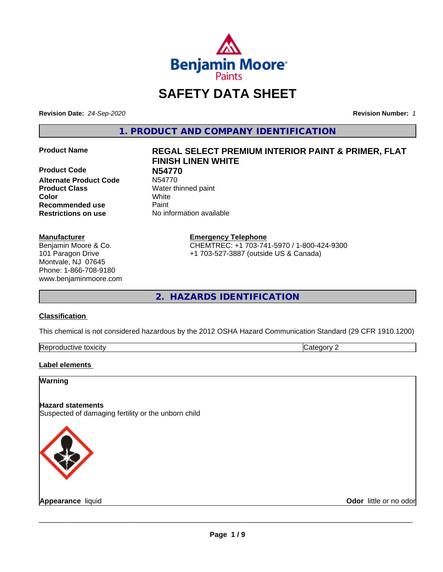

## **SAFETY DATA SHEET**

**Revision Date:** *24-Sep-2020* **Revision Number:** *1*

**1. PRODUCT AND COMPANY IDENTIFICATION**

**Product Code 199770<br>
<b>Alternate Product Code** N54770 **Alternate Product Code Product Class** Water thinned paint **Color** White **Recommended use Caint Restrictions on use** No information available

#### **Manufacturer**

Benjamin Moore & Co. 101 Paragon Drive Montvale, NJ 07645 Phone: 1-866-708-9180 www.benjaminmoore.com

# **Product Name REGAL SELECT PREMIUM INTERIOR PAINT & PRIMER, FLAT FINISH LINEN WHITE**

**Emergency Telephone**

CHEMTREC: +1 703-741-5970 / 1-800-424-9300 +1 703-527-3887 (outside US & Canada)

**2. HAZARDS IDENTIFICATION**

#### **Classification**

This chemical is not considered hazardous by the 2012 OSHA Hazard Communication Standard (29 CFR 1910.1200)

| -<br>Repr<br>toxicity | - - -<br>. זרי<br>.<br> |
|-----------------------|-------------------------|

#### **Label elements**

#### **Warning**

#### **Hazard statements**

Suspected of damaging fertility or the unborn child



**Appearance** liquid **Contract Contract Contract Contract Contract Contract Contract Contract Contract Contract Contract Contract Contract Contract Contract Contract Contract Contract Contract Contract Contract Contract Con**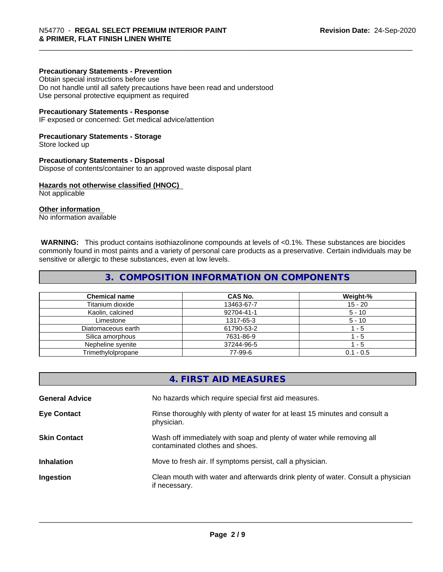#### **Precautionary Statements - Prevention**

Obtain special instructions before use Do not handle until all safety precautions have been read and understood Use personal protective equipment as required

#### **Precautionary Statements - Response**

IF exposed or concerned: Get medical advice/attention

#### **Precautionary Statements - Storage**

Store locked up

#### **Precautionary Statements - Disposal**

Dispose of contents/container to an approved waste disposal plant

#### **Hazards not otherwise classified (HNOC)**

Not applicable

#### **Other information**

No information available

 **WARNING:** This product contains isothiazolinone compounds at levels of <0.1%. These substances are biocides commonly found in most paints and a variety of personal care products as a preservative. Certain individuals may be sensitive or allergic to these substances, even at low levels.

#### **3. COMPOSITION INFORMATION ON COMPONENTS**

| <b>Chemical name</b> | CAS No.    | Weight-%    |
|----------------------|------------|-------------|
| Titanium dioxide     | 13463-67-7 | 15 - 20     |
| Kaolin, calcined     | 92704-41-1 | $5 - 10$    |
| Limestone            | 1317-65-3  | $5 - 10$    |
| Diatomaceous earth   | 61790-53-2 | - 5         |
| Silica amorphous     | 7631-86-9  | - 5         |
| Nepheline syenite    | 37244-96-5 | - 5         |
| Trimethylolpropane   | 77-99-6    | $0.1 - 0.5$ |

|                       | 4. FIRST AID MEASURES                                                                                    |
|-----------------------|----------------------------------------------------------------------------------------------------------|
| <b>General Advice</b> | No hazards which require special first aid measures.                                                     |
| <b>Eye Contact</b>    | Rinse thoroughly with plenty of water for at least 15 minutes and consult a<br>physician.                |
| <b>Skin Contact</b>   | Wash off immediately with soap and plenty of water while removing all<br>contaminated clothes and shoes. |
| <b>Inhalation</b>     | Move to fresh air. If symptoms persist, call a physician.                                                |
| Ingestion             | Clean mouth with water and afterwards drink plenty of water. Consult a physician<br>if necessary.        |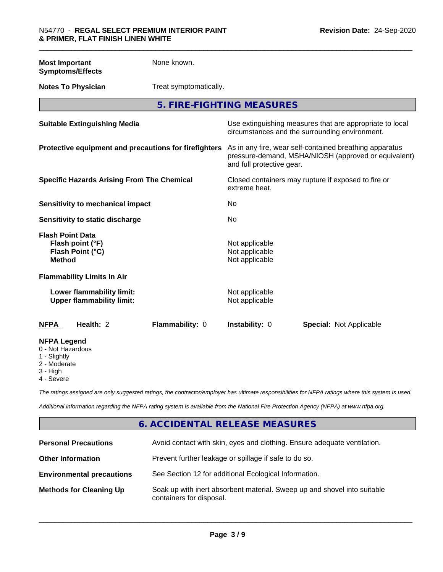**Most Important Symptoms/Effects** None known. **Notes To Physician** Treat symptomatically. **5. FIRE-FIGHTING MEASURES Suitable Extinguishing Media** Media Use extinguishing measures that are appropriate to local circumstances and the surrounding environment. **Protective equipment and precautions for firefighters** As in any fire, wear self-contained breathing apparatus pressure-demand, MSHA/NIOSH (approved or equivalent) and full protective gear. **Specific Hazards Arising From The Chemical Closed containers may rupture if exposed to fire or** extreme heat. **Sensitivity to mechanical impact** No **Sensitivity to static discharge** No **Flash Point Data Flash point (°F)** Not applicable **Flash Point (°C)** Not applicable **Method** Not applicable **Flammability Limits In Air Lower flammability limit:** Not applicable **Upper flammability limit:** Not applicable **NFPA Health:** 2 **Flammability:** 0 **Instability:** 0 **Special:** Not Applicable **NFPA Legend**

- 0 Not Hazardous
- 1 Slightly
- 2 Moderate
- 3 High
- 4 Severe

*The ratings assigned are only suggested ratings, the contractor/employer has ultimate responsibilities for NFPA ratings where this system is used.*

*Additional information regarding the NFPA rating system is available from the National Fire Protection Agency (NFPA) at www.nfpa.org.*

#### **6. ACCIDENTAL RELEASE MEASURES**

| <b>Personal Precautions</b>      | Avoid contact with skin, eyes and clothing. Ensure adequate ventilation.                             |
|----------------------------------|------------------------------------------------------------------------------------------------------|
| <b>Other Information</b>         | Prevent further leakage or spillage if safe to do so.                                                |
| <b>Environmental precautions</b> | See Section 12 for additional Ecological Information.                                                |
| <b>Methods for Cleaning Up</b>   | Soak up with inert absorbent material. Sweep up and shovel into suitable<br>containers for disposal. |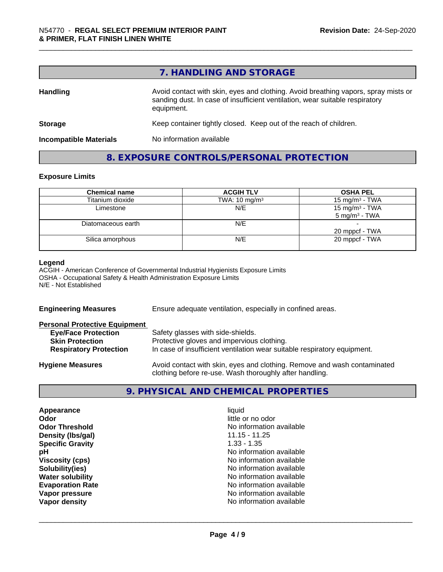|                               | 7. HANDLING AND STORAGE                                                                                                                                                          |
|-------------------------------|----------------------------------------------------------------------------------------------------------------------------------------------------------------------------------|
| <b>Handling</b>               | Avoid contact with skin, eyes and clothing. Avoid breathing vapors, spray mists or<br>sanding dust. In case of insufficient ventilation, wear suitable respiratory<br>equipment. |
| <b>Storage</b>                | Keep container tightly closed. Keep out of the reach of children.                                                                                                                |
| <b>Incompatible Materials</b> | No information available                                                                                                                                                         |

### **8. EXPOSURE CONTROLS/PERSONAL PROTECTION**

#### **Exposure Limits**

| <b>Chemical name</b> | <b>ACGIH TLV</b>         | <b>OSHA PEL</b>                               |
|----------------------|--------------------------|-----------------------------------------------|
| Titanium dioxide     | TWA: $10 \text{ mg/m}^3$ | 15 mg/m <sup>3</sup> - TWA                    |
| Limestone            | N/E                      | 15 mg/m $3$ - TWA<br>$5 \text{ mg/m}^3$ - TWA |
| Diatomaceous earth   | N/E                      | 20 mppcf - TWA                                |
| Silica amorphous     | N/E                      | 20 mppcf - TWA                                |

#### **Legend**

ACGIH - American Conference of Governmental Industrial Hygienists Exposure Limits OSHA - Occupational Safety & Health Administration Exposure Limits N/E - Not Established

| <b>Engineering Measures</b>          | Ensure adequate ventilation, especially in confined areas.                                                                          |
|--------------------------------------|-------------------------------------------------------------------------------------------------------------------------------------|
| <b>Personal Protective Equipment</b> |                                                                                                                                     |
| <b>Eye/Face Protection</b>           | Safety glasses with side-shields.                                                                                                   |
| <b>Skin Protection</b>               | Protective gloves and impervious clothing.                                                                                          |
| <b>Respiratory Protection</b>        | In case of insufficient ventilation wear suitable respiratory equipment.                                                            |
| <b>Hygiene Measures</b>              | Avoid contact with skin, eyes and clothing. Remove and wash contaminated<br>clothing before re-use. Wash thoroughly after handling. |

### **9. PHYSICAL AND CHEMICAL PROPERTIES**

| Appearance              | liquid                   |
|-------------------------|--------------------------|
| Odor                    | little or no odor        |
| <b>Odor Threshold</b>   | No information available |
| Density (Ibs/gal)       | $11.15 - 11.25$          |
| <b>Specific Gravity</b> | $1.33 - 1.35$            |
| рH                      | No information available |
| <b>Viscosity (cps)</b>  | No information available |
| Solubility(ies)         | No information available |
| <b>Water solubility</b> | No information available |
| <b>Evaporation Rate</b> | No information available |
| Vapor pressure          | No information available |
| Vapor density           | No information available |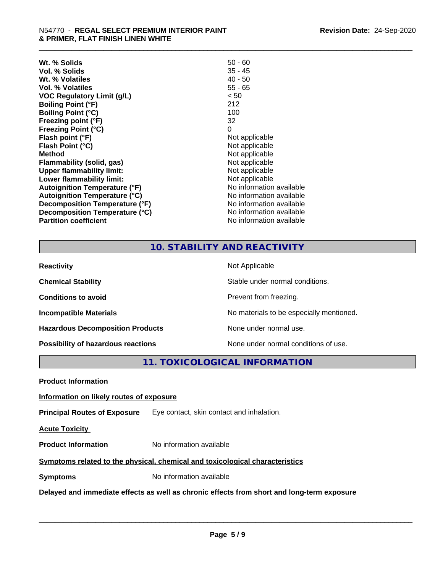| $50 - 60$                |
|--------------------------|
| 35 - 45                  |
| $40 - 50$                |
| $55 - 65$                |
| < 50                     |
| 212                      |
| 100                      |
| 32                       |
| 0                        |
| Not applicable           |
| Not applicable           |
| Not applicable           |
| Not applicable           |
| Not applicable           |
| Not applicable           |
| No information available |
| No information available |
| No information available |
| No information available |
| No information available |
|                          |

### **10. STABILITY AND REACTIVITY**

| <b>Reactivity</b>                       | Not Applicable                           |
|-----------------------------------------|------------------------------------------|
| <b>Chemical Stability</b>               | Stable under normal conditions.          |
| <b>Conditions to avoid</b>              | Prevent from freezing.                   |
| <b>Incompatible Materials</b>           | No materials to be especially mentioned. |
| <b>Hazardous Decomposition Products</b> | None under normal use.                   |
| Possibility of hazardous reactions      | None under normal conditions of use.     |

**11. TOXICOLOGICAL INFORMATION**

**Product Information**

#### **Information on likely routes of exposure**

**Principal Routes of Exposure** Eye contact, skin contact and inhalation.

**Acute Toxicity** 

**Product Information** No information available

#### **Symptoms** related to the physical, chemical and toxicological characteristics

**Symptoms** No information available

#### **Delayed and immediate effects as well as chronic effects from short and long-term exposure**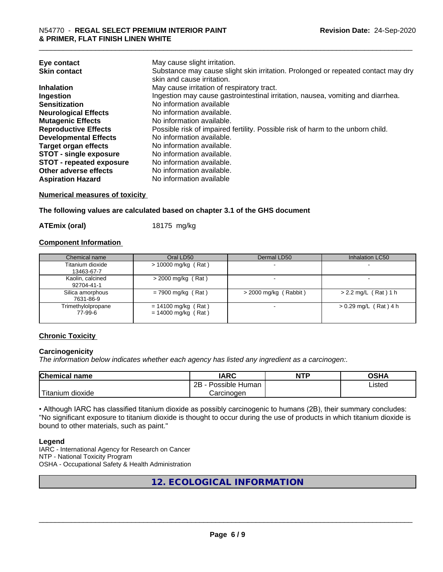| Eye contact                     | May cause slight irritation.                                                      |
|---------------------------------|-----------------------------------------------------------------------------------|
| <b>Skin contact</b>             | Substance may cause slight skin irritation. Prolonged or repeated contact may dry |
|                                 | skin and cause irritation.                                                        |
| <b>Inhalation</b>               | May cause irritation of respiratory tract.                                        |
| Ingestion                       | Ingestion may cause gastrointestinal irritation, nausea, vomiting and diarrhea.   |
| <b>Sensitization</b>            | No information available                                                          |
| <b>Neurological Effects</b>     | No information available.                                                         |
| <b>Mutagenic Effects</b>        | No information available.                                                         |
| <b>Reproductive Effects</b>     | Possible risk of impaired fertility. Possible risk of harm to the unborn child.   |
| <b>Developmental Effects</b>    | No information available.                                                         |
| <b>Target organ effects</b>     | No information available.                                                         |
| <b>STOT - single exposure</b>   | No information available.                                                         |
| <b>STOT - repeated exposure</b> | No information available.                                                         |
| Other adverse effects           | No information available.                                                         |
| <b>Aspiration Hazard</b>        | No information available                                                          |

#### **Numerical measures of toxicity**

**The following values are calculated based on chapter 3.1 of the GHS document**

**ATEmix (oral)** 18175 mg/kg

#### **Component Information**

| Chemical name                  | Oral LD50                                      | Dermal LD50             | Inhalation LC50         |
|--------------------------------|------------------------------------------------|-------------------------|-------------------------|
| Titanium dioxide<br>13463-67-7 | $> 10000$ mg/kg (Rat)                          |                         |                         |
| Kaolin, calcined<br>92704-41-1 | $>$ 2000 mg/kg (Rat)                           |                         |                         |
| Silica amorphous<br>7631-86-9  | $= 7900$ mg/kg (Rat)                           | $>$ 2000 mg/kg (Rabbit) | $> 2.2$ mg/L (Rat) 1 h  |
| Trimethylolpropane<br>77-99-6  | $= 14100$ mg/kg (Rat)<br>$= 14000$ mg/kg (Rat) |                         | $> 0.29$ mg/L (Rat) 4 h |

#### **Chronic Toxicity**

#### **Carcinogenicity**

*The information below indicateswhether each agency has listed any ingredient as a carcinogen:.*

| <b>Chemical</b><br>name            | <b>IARC</b>                                | <b>NTP</b> | ດເ⊔າ<br>∪אח |
|------------------------------------|--------------------------------------------|------------|-------------|
|                                    | .<br>クロ<br>Human<br>Possible<br><u>_ _</u> |            | ∟isted      |
| .<br><br>dioxide<br><b>itanium</b> | Carcinogen                                 |            |             |

• Although IARC has classified titanium dioxide as possibly carcinogenic to humans (2B), their summary concludes: "No significant exposure to titanium dioxide is thought to occur during the use of products in which titanium dioxide is bound to other materials, such as paint."

#### **Legend**

IARC - International Agency for Research on Cancer NTP - National Toxicity Program OSHA - Occupational Safety & Health Administration

**12. ECOLOGICAL INFORMATION**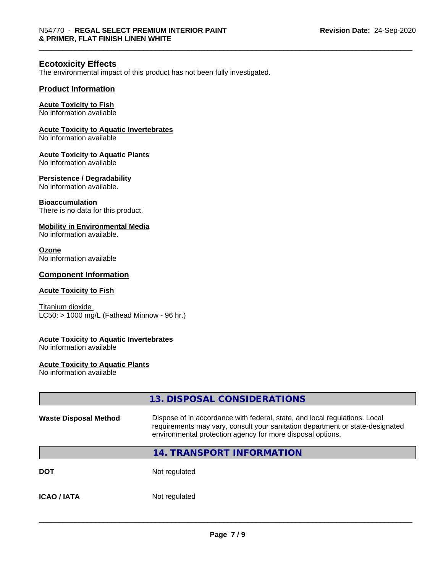#### **Ecotoxicity Effects**

The environmental impact of this product has not been fully investigated.

#### **Product Information**

#### **Acute Toxicity to Fish**

No information available

#### **Acute Toxicity to Aquatic Invertebrates**

No information available

#### **Acute Toxicity to Aquatic Plants**

No information available

#### **Persistence / Degradability**

No information available.

#### **Bioaccumulation**

There is no data for this product.

#### **Mobility in Environmental Media**

No information available.

#### **Ozone**

No information available

#### **Component Information**

#### **Acute Toxicity to Fish**

Titanium dioxide  $LC50:$  > 1000 mg/L (Fathead Minnow - 96 hr.)

#### **Acute Toxicity to Aquatic Invertebrates**

No information available

#### **Acute Toxicity to Aquatic Plants**

No information available

|                              | 13. DISPOSAL CONSIDERATIONS                                                                                                                                                                                               |
|------------------------------|---------------------------------------------------------------------------------------------------------------------------------------------------------------------------------------------------------------------------|
| <b>Waste Disposal Method</b> | Dispose of in accordance with federal, state, and local regulations. Local<br>requirements may vary, consult your sanitation department or state-designated<br>environmental protection agency for more disposal options. |
|                              | <b>14. TRANSPORT INFORMATION</b>                                                                                                                                                                                          |
| <b>DOT</b>                   | Not regulated                                                                                                                                                                                                             |
| <b>ICAO/IATA</b>             | Not regulated                                                                                                                                                                                                             |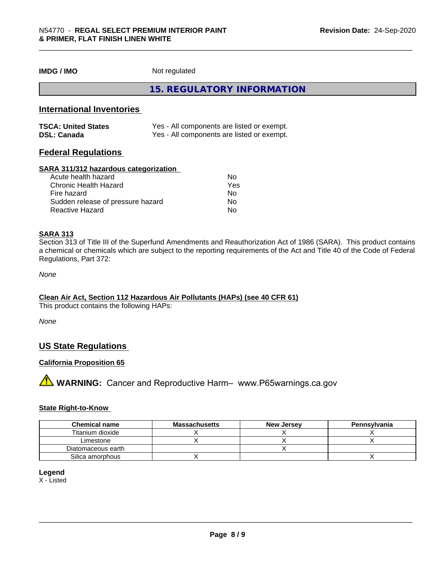**IMDG / IMO** Not regulated

**15. REGULATORY INFORMATION**

#### **International Inventories**

| <b>TSCA: United States</b> | Yes - All components are listed or exempt. |
|----------------------------|--------------------------------------------|
| <b>DSL: Canada</b>         | Yes - All components are listed or exempt. |

#### **Federal Regulations**

#### **SARA 311/312 hazardous categorization**

| Acute health hazard               | No  |  |
|-----------------------------------|-----|--|
| Chronic Health Hazard             | Yes |  |
| Fire hazard                       | No  |  |
| Sudden release of pressure hazard | Nο  |  |
| Reactive Hazard                   | Nο  |  |

#### **SARA 313**

Section 313 of Title III of the Superfund Amendments and Reauthorization Act of 1986 (SARA). This product contains a chemical or chemicals which are subject to the reporting requirements of the Act and Title 40 of the Code of Federal Regulations, Part 372:

*None*

#### **Clean Air Act,Section 112 Hazardous Air Pollutants (HAPs) (see 40 CFR 61)**

This product contains the following HAPs:

*None*

#### **US State Regulations**

#### **California Proposition 65**

**A** WARNING: Cancer and Reproductive Harm– www.P65warnings.ca.gov

#### **State Right-to-Know**

| <b>Chemical name</b> | <b>Massachusetts</b> | <b>New Jersey</b> | Pennsylvania |
|----------------------|----------------------|-------------------|--------------|
| Titanium dioxide     |                      |                   |              |
| Limestone            |                      |                   |              |
| Diatomaceous earth   |                      |                   |              |
| Silica amorphous     |                      |                   |              |

#### **Legend**

X - Listed